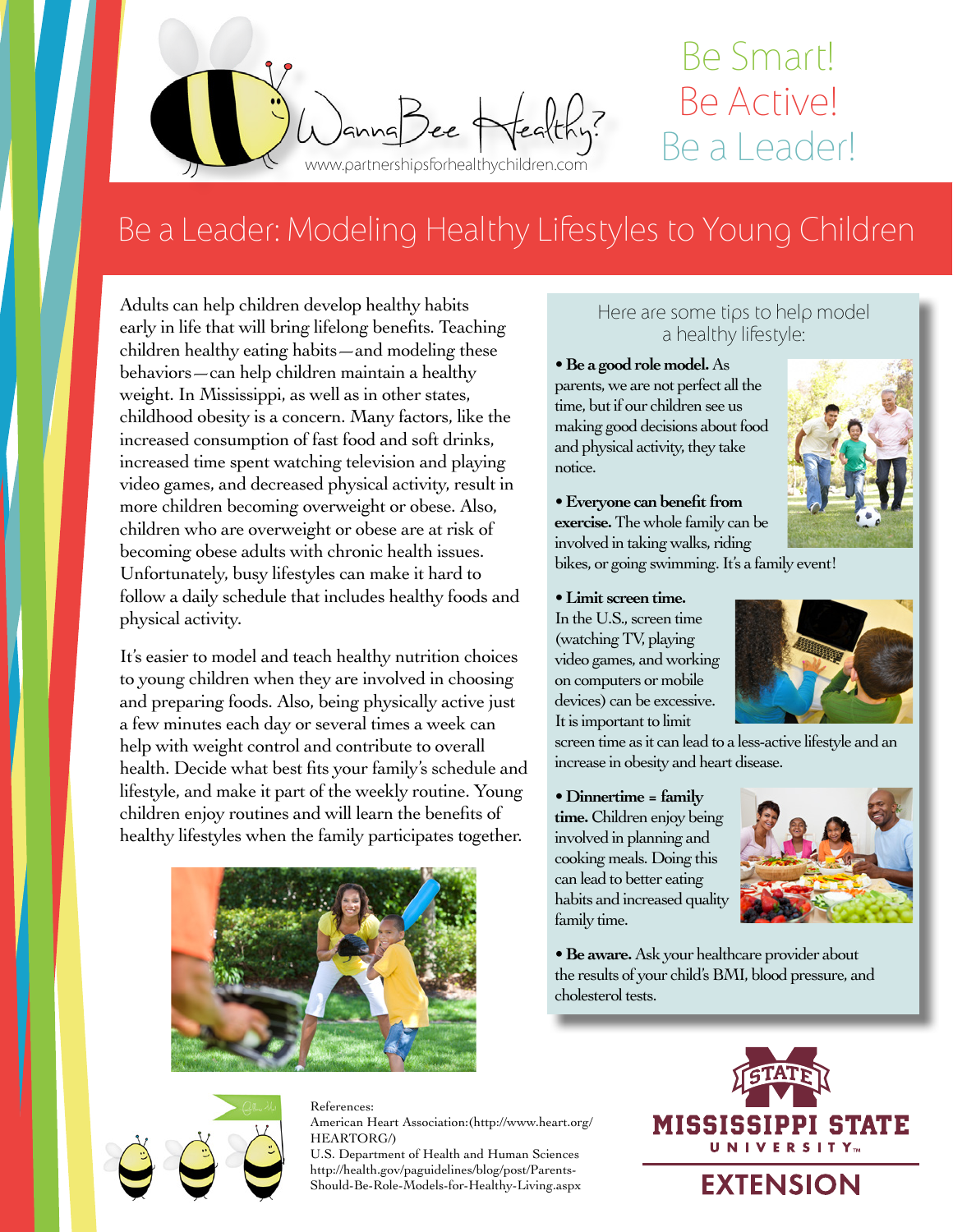

# Be Smart! Be Active!

## Be a Leader: Modeling Healthy Lifestyles to Young Children

Adults can help children develop healthy habits early in life that will bring lifelong benefits. Teaching children healthy eating habits—and modeling these behaviors—can help children maintain a healthy weight. In Mississippi, as well as in other states, childhood obesity is a concern. Many factors, like the increased consumption of fast food and soft drinks, increased time spent watching television and playing video games, and decreased physical activity, result in more children becoming overweight or obese. Also, children who are overweight or obese are at risk of becoming obese adults with chronic health issues. Unfortunately, busy lifestyles can make it hard to follow a daily schedule that includes healthy foods and physical activity.

It's easier to model and teach healthy nutrition choices to young children when they are involved in choosing and preparing foods. Also, being physically active just a few minutes each day or several times a week can help with weight control and contribute to overall health. Decide what best fits your family's schedule and lifestyle, and make it part of the weekly routine. Young children enjoy routines and will learn the benefits of healthy lifestyles when the family participates together.



#### Here are some tips to help model a healthy lifestyle:

• **Be a good role model.** As parents, we are not perfect all the time, but if our children see us making good decisions about food and physical activity, they take notice.



• **Everyone can benefit from exercise.** The whole family can be

involved in taking walks, riding bikes, or going swimming. It's a family event!

#### • **Limit screen time.**

In the U.S., screen time (watching TV, playing video games, and working on computers or mobile devices) can be excessive. It is important to limit

screen time as it can lead to a less-active lifestyle and an increase in obesity and heart disease.

• **Dinnertime = family** 

**time.** Children enjoy being involved in planning and cooking meals. Doing this can lead to better eating habits and increased quality family time.



• **Be aware.** Ask your healthcare provider about the results of your child's BMI, blood pressure, and cholesterol tests.



References: American Heart Association:(http://www.heart.org/ HEARTORG/)

U.S. Department of Health and Human Sciences http://health.gov/paguidelines/blog/post/Parents-Should-Be-Role-Models-for-Healthy-Living.aspx